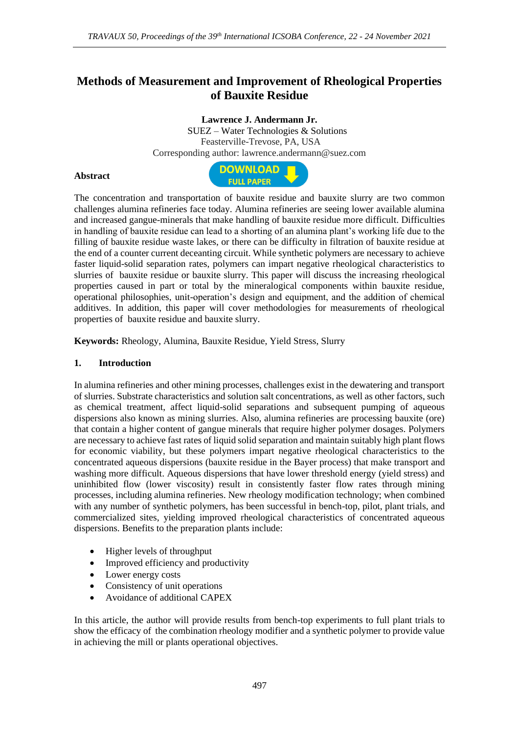# **Methods of Measurement and Improvement of Rheological Properties of Bauxite Residue**

**Lawrence J. Andermann Jr.**

SUEZ – Water Technologies & Solutions Feasterville-Trevose, PA, USA Corresponding author: lawrence.andermann@suez.com

#### **Abstract**



The concentration and transportation of bauxite residue and bauxite slurry are two common challenges alumina refineries face today. Alumina refineries are seeing lower available alumina and increased gangue-minerals that make handling of bauxite residue more difficult. Difficulties in handling of bauxite residue can lead to a shorting of an alumina plant's working life due to the filling of bauxite residue waste lakes, or there can be difficulty in filtration of bauxite residue at the end of a counter current deceanting circuit. While synthetic polymers are necessary to achieve faster liquid-solid separation rates, polymers can impart negative rheological characteristics to slurries of bauxite residue or bauxite slurry. This paper will discuss the increasing rheological properties caused in part or total by the mineralogical components within bauxite residue, operational philosophies, unit-operation's design and equipment, and the addition of chemical additives. In addition, this paper will cover methodologies for measurements of rheological properties of bauxite residue and bauxite slurry.

**Keywords:** Rheology, Alumina, Bauxite Residue, Yield Stress, Slurry

#### **1. Introduction**

In alumina refineries and other mining processes, challenges exist in the dewatering and transport of slurries. Substrate characteristics and solution salt concentrations, as well as other factors, such as chemical treatment, affect liquid-solid separations and subsequent pumping of aqueous dispersions also known as mining slurries. Also, alumina refineries are processing bauxite (ore) that contain a higher content of gangue minerals that require higher polymer dosages. Polymers are necessary to achieve fast rates of liquid solid separation and maintain suitably high plant flows for economic viability, but these polymers impart negative rheological characteristics to the concentrated aqueous dispersions (bauxite residue in the Bayer process) that make transport and washing more difficult. Aqueous dispersions that have lower threshold energy (yield stress) and uninhibited flow (lower viscosity) result in consistently faster flow rates through mining processes, including alumina refineries. New rheology modification technology; when combined with any number of synthetic polymers, has been successful in bench-top, pilot, plant trials, and commercialized sites, yielding improved rheological characteristics of concentrated aqueous dispersions. Benefits to the preparation plants include:

- Higher levels of throughput
- Improved efficiency and productivity
- Lower energy costs
- Consistency of unit operations
- Avoidance of additional CAPEX

In this article, the author will provide results from bench-top experiments to full plant trials to show the efficacy of the combination rheology modifier and a synthetic polymer to provide value in achieving the mill or plants operational objectives.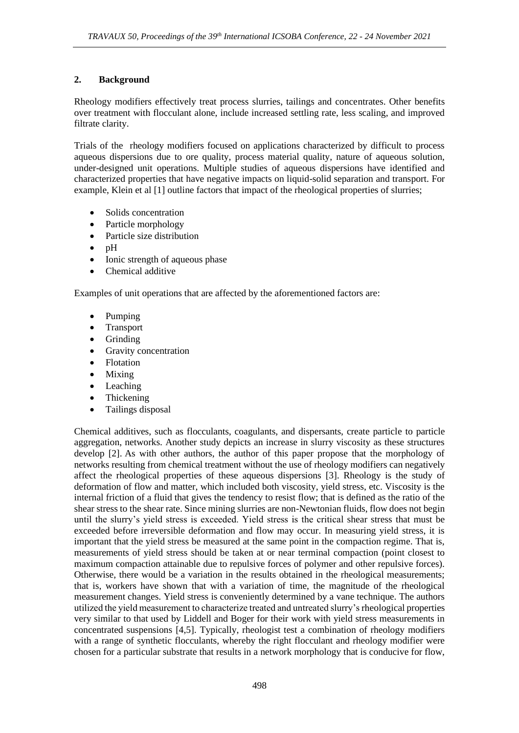## **2. Background**

Rheology modifiers effectively treat process slurries, tailings and concentrates. Other benefits over treatment with flocculant alone, include increased settling rate, less scaling, and improved filtrate clarity.

Trials of the rheology modifiers focused on applications characterized by difficult to process aqueous dispersions due to ore quality, process material quality, nature of aqueous solution, under-designed unit operations. Multiple studies of aqueous dispersions have identified and characterized properties that have negative impacts on liquid-solid separation and transport. For example, Klein et al [1] outline factors that impact of the rheological properties of slurries;

- Solids concentration
- Particle morphology
- Particle size distribution
- pH
- Ionic strength of aqueous phase
- Chemical additive

Examples of unit operations that are affected by the aforementioned factors are:

- Pumping
- Transport
- Grinding
- Gravity concentration
- Flotation
- Mixing
- Leaching
- Thickening
- Tailings disposal

Chemical additives, such as flocculants, coagulants, and dispersants, create particle to particle aggregation, networks. Another study depicts an increase in slurry viscosity as these structures develop [2]. As with other authors, the author of this paper propose that the morphology of networks resulting from chemical treatment without the use of rheology modifiers can negatively affect the rheological properties of these aqueous dispersions [3]. Rheology is the study of deformation of flow and matter, which included both viscosity, yield stress, etc. Viscosity is the internal friction of a fluid that gives the tendency to resist flow; that is defined as the ratio of the shear stress to the shear rate. Since mining slurries are non-Newtonian fluids, flow does not begin until the slurry's yield stress is exceeded. Yield stress is the critical shear stress that must be exceeded before irreversible deformation and flow may occur. In measuring yield stress, it is important that the yield stress be measured at the same point in the compaction regime. That is, measurements of yield stress should be taken at or near terminal compaction (point closest to maximum compaction attainable due to repulsive forces of polymer and other repulsive forces). Otherwise, there would be a variation in the results obtained in the rheological measurements; that is, workers have shown that with a variation of time, the magnitude of the rheological measurement changes. Yield stress is conveniently determined by a vane technique. The authors utilized the yield measurement to characterize treated and untreated slurry's rheological properties very similar to that used by Liddell and Boger for their work with yield stress measurements in concentrated suspensions [4,5]. Typically, rheologist test a combination of rheology modifiers with a range of synthetic flocculants, whereby the right flocculant and rheology modifier were chosen for a particular substrate that results in a network morphology that is conducive for flow,